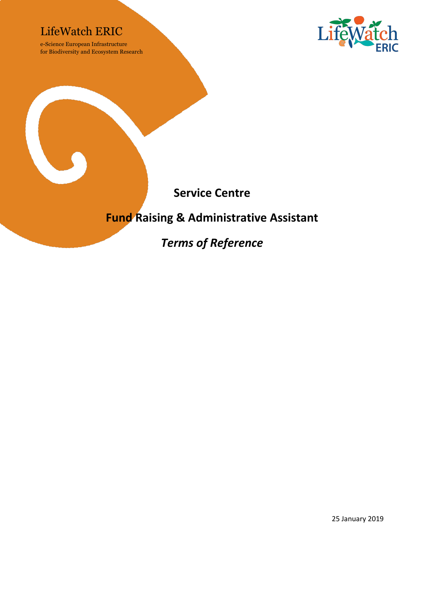### LifeWatch ERIC

e-Science European Infrastructure for Biodiversity and Ecosystem Research





### **Fund Raising & Administrative Assistant**

*Terms of Reference*

25 January 2019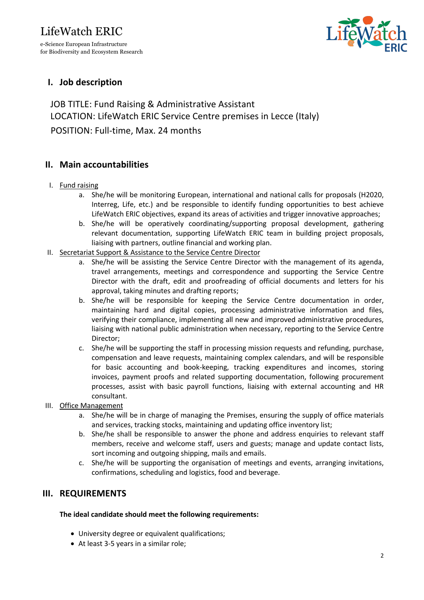# LifeWatch ERIC e-Science European Infrastructure

for Biodiversity and Ecosystem Research



#### **I. Job description**

JOB TITLE: Fund Raising & Administrative Assistant LOCATION: LifeWatch ERIC Service Centre premises in Lecce (Italy) POSITION: Full-time, Max. 24 months

#### **II. Main accountabilities**

- I. Fund raising
	- a. She/he will be monitoring European, international and national calls for proposals (H2020, Interreg, Life, etc.) and be responsible to identify funding opportunities to best achieve LifeWatch ERIC objectives, expand its areas of activities and trigger innovative approaches;
	- b. She/he will be operatively coordinating/supporting proposal development, gathering relevant documentation, supporting LifeWatch ERIC team in building project proposals, liaising with partners, outline financial and working plan.
- II. Secretariat Support & Assistance to the Service Centre Director
	- a. She/he will be assisting the Service Centre Director with the management of its agenda, travel arrangements, meetings and correspondence and supporting the Service Centre Director with the draft, edit and proofreading of official documents and letters for his approval, taking minutes and drafting reports;
	- b. She/he will be responsible for keeping the Service Centre documentation in order, maintaining hard and digital copies, processing administrative information and files, verifying their compliance, implementing all new and improved administrative procedures, liaising with national public administration when necessary, reporting to the Service Centre Director;
	- c. She/he will be supporting the staff in processing mission requests and refunding, purchase, compensation and leave requests, maintaining complex calendars, and will be responsible for basic accounting and book-keeping, tracking expenditures and incomes, storing invoices, payment proofs and related supporting documentation, following procurement processes, assist with basic payroll functions, liaising with external accounting and HR consultant.
- III. Office Management
	- a. She/he will be in charge of managing the Premises, ensuring the supply of office materials and services, tracking stocks, maintaining and updating office inventory list;
	- b. She/he shall be responsible to answer the phone and address enquiries to relevant staff members, receive and welcome staff, users and guests; manage and update contact lists, sort incoming and outgoing shipping, mails and emails.
	- c. She/he will be supporting the organisation of meetings and events, arranging invitations, confirmations, scheduling and logistics, food and beverage.

#### **III. REQUIREMENTS**

#### **The ideal candidate should meet the following requirements:**

- University degree or equivalent qualifications;
- At least 3-5 years in a similar role;